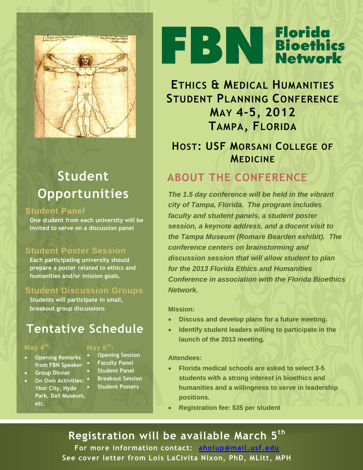

# **Student Opportunities**

### **Student Panel**

**One student from each university will be invited to serve on a discussion panel**

### **Student Poster Session**

**Each participating university should prepare a poster related to ethics and humanities and/or mission goals.**

## **Student Discussion Groups**

**Students will participate in small, breakout group discussions**

## **Tentative Schedule**

### **May 4th:**

- **Opening Remarks from FBN Speaker**
- **Group Dinner**
- **On Own Activities: Ybor City, Hyde Park, Dali Museum, etc.**

### **May 5th:**

- **Opening Session**
- **Faculty Panel**
- **Student Panel**
- **Breakout Session**
- **Student Posters**

# **FBN** Florida<br>BN Bioethics

**ETHICS & MEDICAL HUMANITIES STUDENT PLANNING CONFERENCE MAY 4-5, 2012 TAMPA, FLORIDA**

**HOST: USF MORSANI COLLEGE OF MEDICINE**

## **ABOUT THE CONFERENCE**

*The 1.5 day conference will be held in the vibrant city of Tampa, Florida. The program includes faculty and student panels, a student poster session, a keynote address, and a docent visit to the Tampa Museum (Romare Bearden exhibit). The conference centers on brainstorming and discussion session that will allow student to plan for the 2013 Florida Ethics and Humanities Conference in association with the Florida Bioethics Network.* 

**Mission:**

- **Discuss and develop plans for a future meeting.**
- **Identify student leaders willing to participate in the launch of the 2013 meeting.**

### **Attendees:**

- **Florida medical schools are asked to select 3-5 students with a strong interest in bioethics and humanities and a willingness to serve in leadership positions.**
- **Registration fee: \$35 per student**

**Registration will be available March 5th For more information contact: [aholup@mail.usf.edu](mailto:aholup@mail.usf.edu) See cover letter from Lois LaCivita Nixon, PhD, MLitt, MPH**